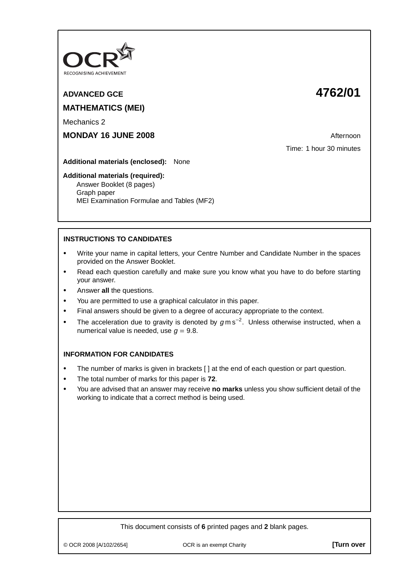

# **ADVANCED GCE 4762/01 MATHEMATICS (MEI)**

Mechanics 2

**MONDAY 16 JUNE 2008 Afternoon** 

Time: 1 hour 30 minutes

**Additional materials (enclosed):** None

#### **Additional materials (required):**

Answer Booklet (8 pages) Graph paper MEI Examination Formulae and Tables (MF2)

## **INSTRUCTIONS TO CANDIDATES**

- **•** Write your name in capital letters, your Centre Number and Candidate Number in the spaces provided on the Answer Booklet.
- **•** Read each question carefully and make sure you know what you have to do before starting your answer.
- **•** Answer **all** the questions.
- **•** You are permitted to use a graphical calculator in this paper.
- **•** Final answers should be given to a degree of accuracy appropriate to the context.
- **•** The acceleration due to gravity is denoted by <sup>g</sup> m s−<sup>2</sup> . Unless otherwise instructed, when a numerical value is needed, use  $q = 9.8$ .

### **INFORMATION FOR CANDIDATES**

- The number of marks is given in brackets [] at the end of each question or part question.
- **•** The total number of marks for this paper is **72**.
- **•** You are advised that an answer may receive **no marks** unless you show sufficient detail of the working to indicate that a correct method is being used.

### This document consists of **6** printed pages and **2** blank pages.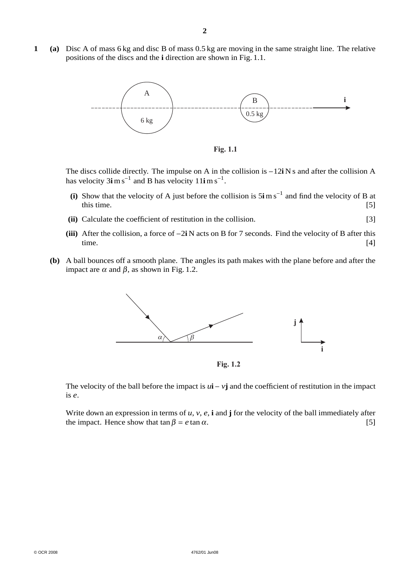**1 (a)** Disc A of mass 6 kg and disc B of mass 0.5 kg are moving in the same straight line. The relative positions of the discs and the **i** direction are shown in Fig. 1.1.



**Fig. 1.1**

The discs collide directly. The impulse on A in the collision is −12**i** N s and after the collision A has velocity 3**i**m s<sup>−</sup><sup>1</sup> and B has velocity 11**i**m s<sup>−</sup><sup>1</sup> .

- **(i)** Show that the velocity of A just before the collision is 5**i**m s<sup>−</sup><sup>1</sup> and find the velocity of B at this time.  $[5]$
- **(ii)** Calculate the coefficient of restitution in the collision. [3]
- **(iii)** After the collision, a force of −2**i** N acts on B for 7 seconds. Find the velocity of B after this time.  $[4]$
- **(b)** A ball bounces off a smooth plane. The angles its path makes with the plane before and after the impact are  $\alpha$  and  $\beta$ , as shown in Fig. 1.2.



**Fig. 1.2**

The velocity of the ball before the impact is  $u\mathbf{i} - v\mathbf{j}$  and the coefficient of restitution in the impact is *e*.

Write down an expression in terms of *u*, *v*, *e*, **i** and **j** for the velocity of the ball immediately after the impact. Hence show that  $\tan \beta = e \tan \alpha$ . [5]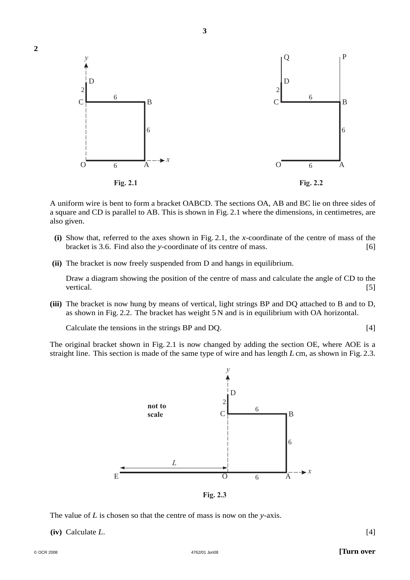

A uniform wire is bent to form a bracket OABCD. The sections OA, AB and BC lie on three sides of a square and CD is parallel to AB. This is shown in Fig. 2.1 where the dimensions, in centimetres, are also given.

- **(i)** Show that, referred to the axes shown in Fig. 2.1, the *x*-coordinate of the centre of mass of the bracket is 3.6. Find also the *y*-coordinate of its centre of mass. [6]
- **(ii)** The bracket is now freely suspended from D and hangs in equilibrium.

Draw a diagram showing the position of the centre of mass and calculate the angle of CD to the vertical. [5]

**(iii)** The bracket is now hung by means of vertical, light strings BP and DQ attached to B and to D, as shown in Fig. 2.2. The bracket has weight  $5 \text{ N}$  and is in equilibrium with OA horizontal.

Calculate the tensions in the strings BP and DQ. [4]

The original bracket shown in Fig. 2.1 is now changed by adding the section OE, where AOE is a straight line. This section is made of the same type of wire and has length *L* cm, as shown in Fig. 2.3.



**Fig. 2.3**

The value of *L* is chosen so that the centre of mass is now on the *y*-axis.

**(iv)** Calculate *L*. [4]

**2**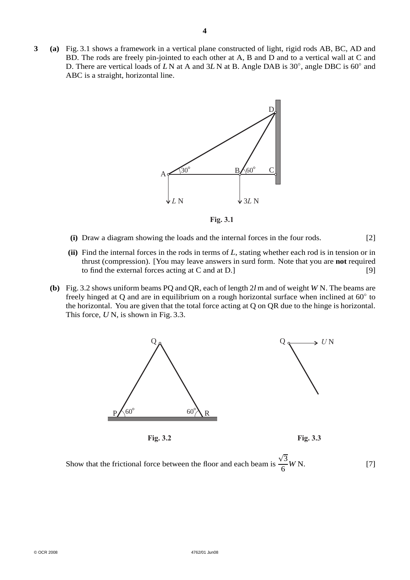**3 (a)** Fig. 3.1 shows a framework in a vertical plane constructed of light, rigid rods AB, BC, AD and BD. The rods are freely pin-jointed to each other at A, B and D and to a vertical wall at C and D. There are vertical loads of *L* N at A and 3*L* N at B. Angle DAB is 30◦ , angle DBC is 60◦ and ABC is a straight, horizontal line.



**Fig. 3.1**

- **(i)** Draw a diagram showing the loads and the internal forces in the four rods. [2]
- **(ii)** Find the internal forces in the rods in terms of *L*, stating whether each rod is in tension or in thrust (compression). [You may leave answers in surd form. Note that you are **not** required to find the external forces acting at C and at D.] [9]
- **(b)** Fig. 3.2 shows uniform beams PQ and QR, each of length 2*l* m and of weight *W* N. The beams are freely hinged at Q and are in equilibrium on a rough horizontal surface when inclined at 60◦ to the horizontal. You are given that the total force acting at Q on QR due to the hinge is horizontal. This force, *U* N, is shown in Fig. 3.3.



Show that the frictional force between the floor and each beam is  $\sqrt{3}$  $\frac{6}{6}$ W N. [7]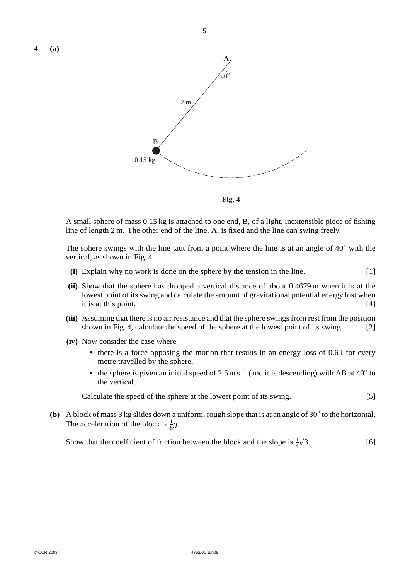**4 (a)**



**Fig. 4**

A small sphere of mass 0.15 kg is attached to one end, B, of a light, inextensible piece of fishing line of length 2 m. The other end of the line, A, is fixed and the line can swing freely.

The sphere swings with the line taut from a point where the line is at an angle of 40° with the vertical, as shown in Fig. 4.

- **(i)** Explain why no work is done on the sphere by the tension in the line. [1]
- **(ii)** Show that the sphere has dropped a vertical distance of about 0.4679 m when it is at the lowest point of its swing and calculate the amount of gravitational potential energy lost when it is at this point.  $[4]$
- **(iii)** Assuming that there is no air resistance and that the sphere swings from rest from the position shown in Fig. 4, calculate the speed of the sphere at the lowest point of its swing. [2]
- **(iv)** Now consider the case where
	- there is a force opposing the motion that results in an energy loss of 0.6 J for every metre travelled by the sphere,
	- the sphere is given an initial speed of 2.5 m s<sup>-1</sup> (and it is descending) with AB at 40<sup>°</sup> to the vertical.

Calculate the speed of the sphere at the lowest point of its swing. [5]

**(b)** A block of mass 3 kg slides down a uniform, rough slope that is at an angle of 30◦ to the horizontal. The acceleration of the block is  $\frac{1}{8}g$ .

Show that the coefficient of friction between the block and the slope is  $\frac{1}{4}$  $\ddot{\cdot}$  $[6]$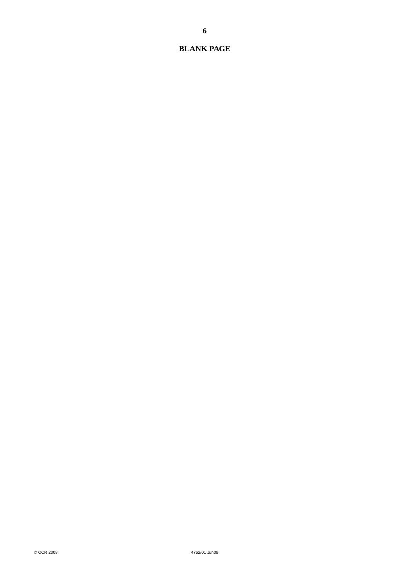## **BLANK PAGE**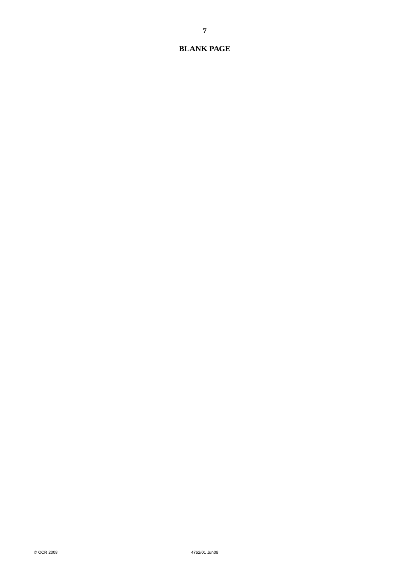## **BLANK PAGE**